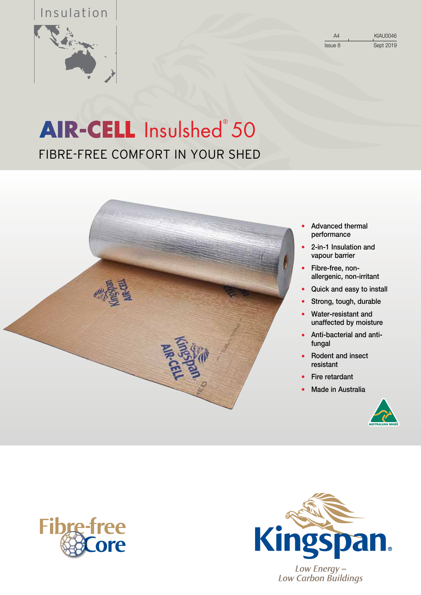## Insulation



Issue 8 Sept 2019

A4 KIAU0046

## FIBRE-FREE COMFORT IN YOUR SHED Insulshed<sup>®</sup> 50



- **●** Advanced thermal performance
- **●** 2-in-1 Insulation and vapour barrier
- **●** Fibre-free, nonallergenic, non-irritant
- **●** Quick and easy to install
- Strong, tough, durable
- **●** Water-resistant and unaffected by moisture
- **●** Anti-bacterial and antifungal
- **●** Rodent and insect resistant
- **●** Fire retardant
- **●** Made in Australia